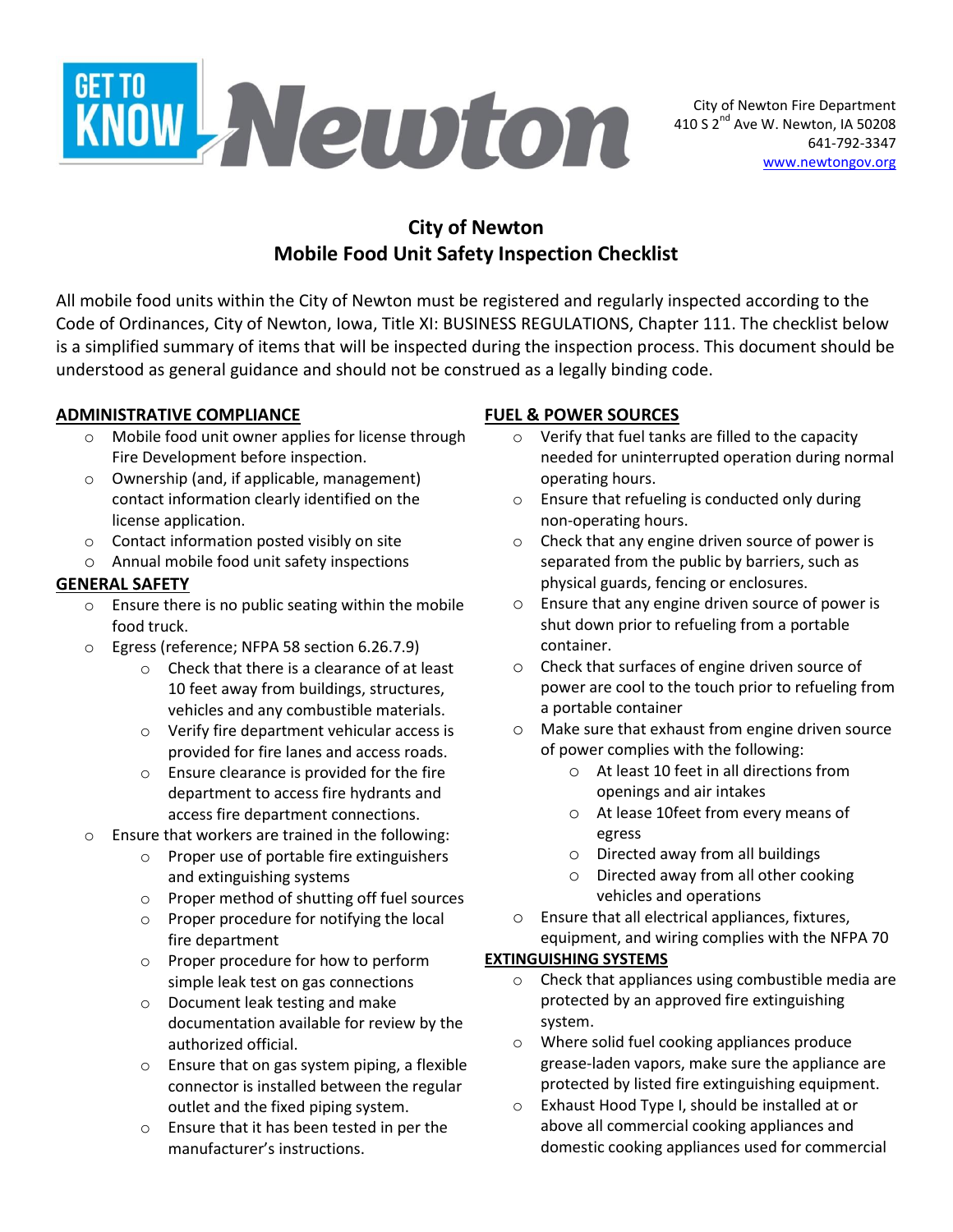

# **City of Newton Mobile Food Unit Safety Inspection Checklist**

All mobile food units within the City of Newton must be registered and regularly inspected according to the Code of Ordinances, City of Newton, Iowa, Title XI: BUSINESS REGULATIONS, Chapter 111. The checklist below is a simplified summary of items that will be inspected during the inspection process. This document should be understood as general guidance and should not be construed as a legally binding code.

#### **ADMINISTRATIVE COMPLIANCE**

- o Mobile food unit owner applies for license through Fire Development before inspection.
- o Ownership (and, if applicable, management) contact information clearly identified on the license application.
- o Contact information posted visibly on site
- o Annual mobile food unit safety inspections

#### **GENERAL SAFETY**

- o Ensure there is no public seating within the mobile food truck.
- o Egress (reference; NFPA 58 section 6.26.7.9)
	- o Check that there is a clearance of at least 10 feet away from buildings, structures, vehicles and any combustible materials.
	- o Verify fire department vehicular access is provided for fire lanes and access roads.
	- o Ensure clearance is provided for the fire department to access fire hydrants and access fire department connections.
- o Ensure that workers are trained in the following:
	- o Proper use of portable fire extinguishers and extinguishing systems
	- o Proper method of shutting off fuel sources
	- o Proper procedure for notifying the local fire department
	- o Proper procedure for how to perform simple leak test on gas connections
	- o Document leak testing and make documentation available for review by the authorized official.
	- o Ensure that on gas system piping, a flexible connector is installed between the regular outlet and the fixed piping system.
	- o Ensure that it has been tested in per the manufacturer's instructions.

#### **FUEL & POWER SOURCES**

- o Verify that fuel tanks are filled to the capacity needed for uninterrupted operation during normal operating hours.
- o Ensure that refueling is conducted only during non-operating hours.
- o Check that any engine driven source of power is separated from the public by barriers, such as physical guards, fencing or enclosures.
- o Ensure that any engine driven source of power is shut down prior to refueling from a portable container.
- o Check that surfaces of engine driven source of power are cool to the touch prior to refueling from a portable container
- o Make sure that exhaust from engine driven source of power complies with the following:
	- o At least 10 feet in all directions from openings and air intakes
	- o At lease 10feet from every means of egress
	- o Directed away from all buildings
	- o Directed away from all other cooking vehicles and operations
- o Ensure that all electrical appliances, fixtures, equipment, and wiring complies with the NFPA 70

#### **EXTINGUISHING SYSTEMS**

- o Check that appliances using combustible media are protected by an approved fire extinguishing system.
- o Where solid fuel cooking appliances produce grease-laden vapors, make sure the appliance are protected by listed fire extinguishing equipment.
- o Exhaust Hood Type I, should be installed at or above all commercial cooking appliances and domestic cooking appliances used for commercial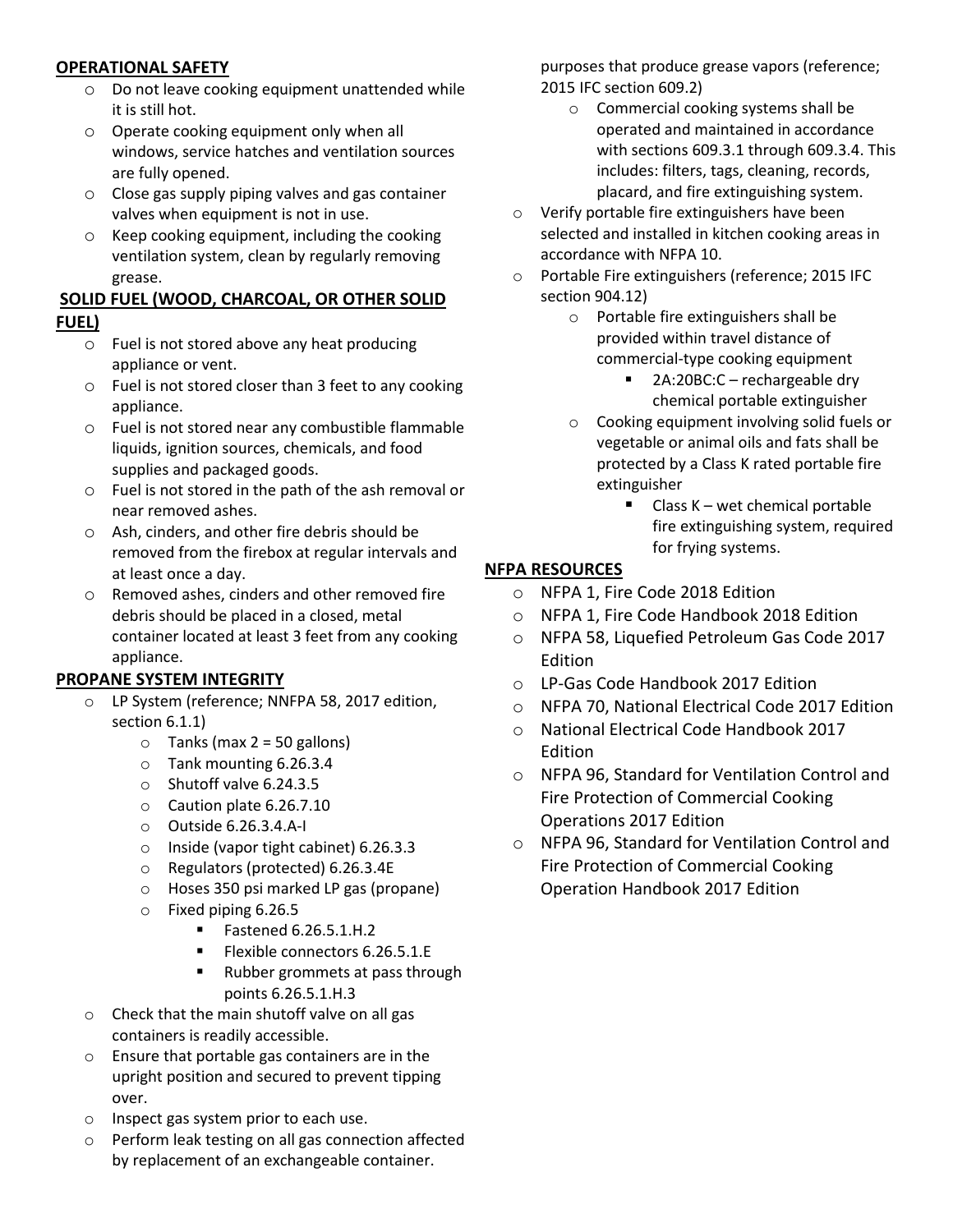#### **OPERATIONAL SAFETY**

- o Do not leave cooking equipment unattended while it is still hot.
- o Operate cooking equipment only when all windows, service hatches and ventilation sources are fully opened.
- o Close gas supply piping valves and gas container valves when equipment is not in use.
- o Keep cooking equipment, including the cooking ventilation system, clean by regularly removing grease.

#### **SOLID FUEL (WOOD, CHARCOAL, OR OTHER SOLID FUEL)**

- o Fuel is not stored above any heat producing appliance or vent.
- o Fuel is not stored closer than 3 feet to any cooking appliance.
- o Fuel is not stored near any combustible flammable liquids, ignition sources, chemicals, and food supplies and packaged goods.
- o Fuel is not stored in the path of the ash removal or near removed ashes.
- o Ash, cinders, and other fire debris should be removed from the firebox at regular intervals and at least once a day.
- o Removed ashes, cinders and other removed fire debris should be placed in a closed, metal container located at least 3 feet from any cooking appliance.

## **PROPANE SYSTEM INTEGRITY**

- LP System (reference; NNFPA 58, 2017 edition, section 6.1.1)
	- $\circ$  Tanks (max 2 = 50 gallons)
	- o Tank mounting 6.26.3.4
	- o Shutoff valve 6.24.3.5
	- o Caution plate 6.26.7.10
	- o Outside 6.26.3.4.A-I
	- o Inside (vapor tight cabinet) 6.26.3.3
	- o Regulators (protected) 6.26.3.4E
	- o Hoses 350 psi marked LP gas (propane)
	- o Fixed piping 6.26.5
		- Fastened 6.26.5.1.H.2
		- Flexible connectors 6.26.5.1.E
		- Rubber grommets at pass through points 6.26.5.1.H.3
- o Check that the main shutoff valve on all gas containers is readily accessible.
- o Ensure that portable gas containers are in the upright position and secured to prevent tipping over.
- o Inspect gas system prior to each use.
- o Perform leak testing on all gas connection affected by replacement of an exchangeable container.

purposes that produce grease vapors (reference; 2015 IFC section 609.2)

- o Commercial cooking systems shall be operated and maintained in accordance with sections 609.3.1 through 609.3.4. This includes: filters, tags, cleaning, records, placard, and fire extinguishing system.
- o Verify portable fire extinguishers have been selected and installed in kitchen cooking areas in accordance with NFPA 10.
- o Portable Fire extinguishers (reference; 2015 IFC section 904.12)
	- o Portable fire extinguishers shall be provided within travel distance of commercial-type cooking equipment
		- 2A:20BC:C rechargeable dry chemical portable extinguisher
	- o Cooking equipment involving solid fuels or vegetable or animal oils and fats shall be protected by a Class K rated portable fire extinguisher
		- $\blacksquare$  Class K wet chemical portable fire extinguishing system, required for frying systems.

## **NFPA RESOURCES**

- o NFPA 1, Fire Code 2018 Edition
- o NFPA 1, Fire Code Handbook 2018 Edition
- o NFPA 58, Liquefied Petroleum Gas Code 2017 Edition
- o LP-Gas Code Handbook 2017 Edition
- o NFPA 70, National Electrical Code 2017 Edition
- o National Electrical Code Handbook 2017 Edition
- o NFPA 96, Standard for Ventilation Control and Fire Protection of Commercial Cooking Operations 2017 Edition
- o NFPA 96, Standard for Ventilation Control and Fire Protection of Commercial Cooking Operation Handbook 2017 Edition